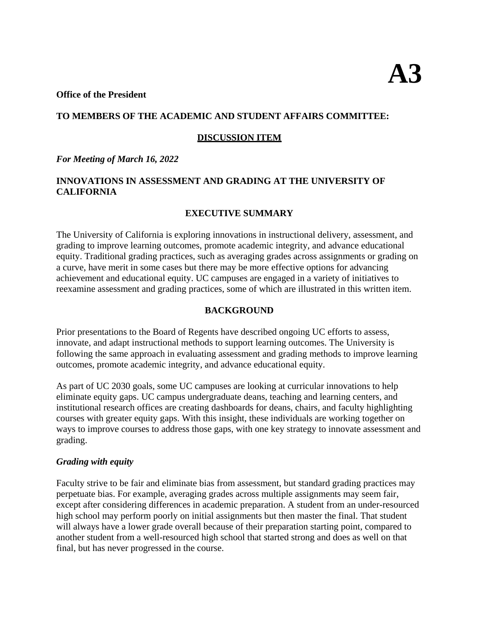#### **Office of the President**

#### **TO MEMBERS OF THE ACADEMIC AND STUDENT AFFAIRS COMMITTEE:**

#### **DISCUSSION ITEM**

#### *For Meeting of March 16, 2022*

### **INNOVATIONS IN ASSESSMENT AND GRADING AT THE UNIVERSITY OF CALIFORNIA**

#### **EXECUTIVE SUMMARY**

The University of California is exploring innovations in instructional delivery, assessment, and grading to improve learning outcomes, promote academic integrity, and advance educational equity. Traditional grading practices, such as averaging grades across assignments or grading on a curve, have merit in some cases but there may be more effective options for advancing achievement and educational equity. UC campuses are engaged in a variety of initiatives to reexamine assessment and grading practices, some of which are illustrated in this written item.

#### **BACKGROUND**

Prior presentations to the Board of Regents have described ongoing UC efforts to assess, innovate, and adapt instructional methods to support learning outcomes. The University is following the same approach in evaluating assessment and grading methods to improve learning outcomes, promote academic integrity, and advance educational equity.

As part of UC 2030 goals, some UC campuses are looking at curricular innovations to help eliminate equity gaps. UC campus undergraduate deans, teaching and learning centers, and institutional research offices are creating dashboards for deans, chairs, and faculty highlighting courses with greater equity gaps. With this insight, these individuals are working together on ways to improve courses to address those gaps, with one key strategy to innovate assessment and grading.

#### *Grading with equity*

Faculty strive to be fair and eliminate bias from assessment, but standard grading practices may perpetuate bias. For example, averaging grades across multiple assignments may seem fair, except after considering differences in academic preparation. A student from an under-resourced high school may perform poorly on initial assignments but then master the final. That student will always have a lower grade overall because of their preparation starting point, compared to another student from a well-resourced high school that started strong and does as well on that final, but has never progressed in the course.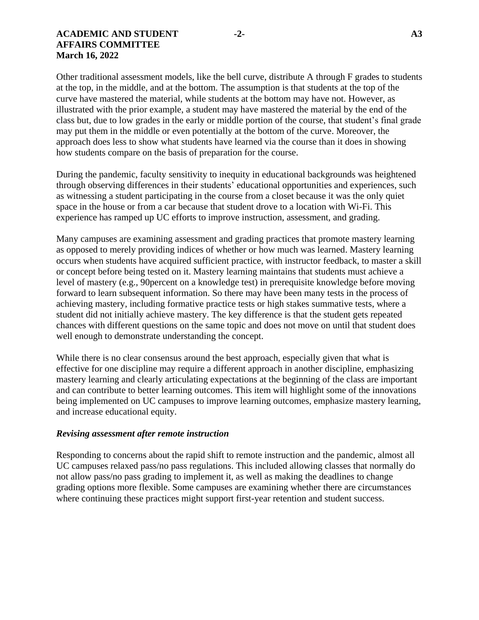#### **ACADEMIC AND STUDENT -2- A3 AFFAIRS COMMITTEE March 16, 2022**

Other traditional assessment models, like the bell curve, distribute A through F grades to students at the top, in the middle, and at the bottom. The assumption is that students at the top of the curve have mastered the material, while students at the bottom may have not. However, as illustrated with the prior example, a student may have mastered the material by the end of the class but, due to low grades in the early or middle portion of the course, that student's final grade may put them in the middle or even potentially at the bottom of the curve. Moreover, the approach does less to show what students have learned via the course than it does in showing how students compare on the basis of preparation for the course.

During the pandemic, faculty sensitivity to inequity in educational backgrounds was heightened through observing differences in their students' educational opportunities and experiences, such as witnessing a student participating in the course from a closet because it was the only quiet space in the house or from a car because that student drove to a location with Wi-Fi. This experience has ramped up UC efforts to improve instruction, assessment, and grading.

Many campuses are examining assessment and grading practices that promote mastery learning as opposed to merely providing indices of whether or how much was learned. Mastery learning occurs when students have acquired sufficient practice, with instructor feedback, to master a skill or concept before being tested on it. Mastery learning maintains that students must achieve a level of mastery (e.g., 90percent on a knowledge test) in prerequisite knowledge before moving forward to learn subsequent information. So there may have been many tests in the process of achieving mastery, including formative practice tests or high stakes summative tests, where a student did not initially achieve mastery. The key difference is that the student gets repeated chances with different questions on the same topic and does not move on until that student does well enough to demonstrate understanding the concept.

While there is no clear consensus around the best approach, especially given that what is effective for one discipline may require a different approach in another discipline, emphasizing mastery learning and clearly articulating expectations at the beginning of the class are important and can contribute to better learning outcomes. This item will highlight some of the innovations being implemented on UC campuses to improve learning outcomes, emphasize mastery learning, and increase educational equity.

#### *Revising assessment after remote instruction*

Responding to concerns about the rapid shift to remote instruction and the pandemic, almost all UC campuses relaxed pass/no pass regulations. This included allowing classes that normally do not allow pass/no pass grading to implement it, as well as making the deadlines to change grading options more flexible. Some campuses are examining whether there are circumstances where continuing these practices might support first-year retention and student success.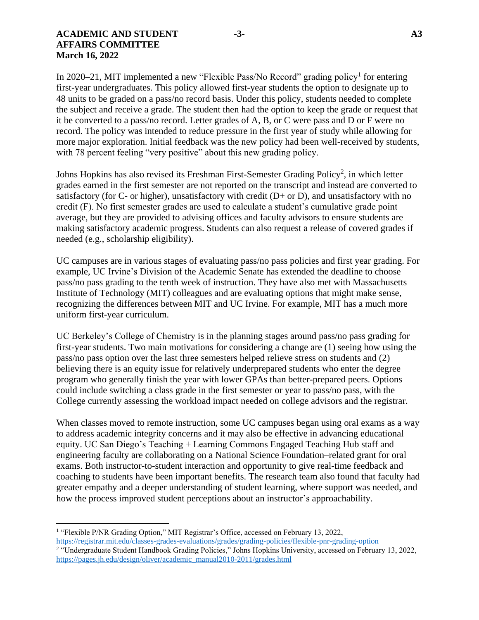#### **ACADEMIC AND STUDENT -3- A3 AFFAIRS COMMITTEE March 16, 2022**

In 2020–21, MIT implemented a new "Flexible Pass/No Record" grading policy<sup>1</sup> for entering first-year undergraduates. This policy allowed first-year students the option to designate up to 48 units to be graded on a pass/no record basis. Under this policy, students needed to complete the subject and receive a grade. The student then had the option to keep the grade or request that it be converted to a pass/no record. Letter grades of A, B, or C were pass and D or F were no record. The policy was intended to reduce pressure in the first year of study while allowing for more major exploration. Initial feedback was the new policy had been well-received by students, with 78 percent feeling "very positive" about this new grading policy.

Johns Hopkins has also revised its Freshman First-Semester Grading Policy<sup>2</sup>, in which letter grades earned in the first semester are not reported on the transcript and instead are converted to satisfactory (for  $C$ - or higher), unsatisfactory with credit ( $D$ + or  $D$ ), and unsatisfactory with no credit (F). No first semester grades are used to calculate a student's cumulative grade point average, but they are provided to advising offices and faculty advisors to ensure students are making satisfactory academic progress. Students can also request a release of covered grades if needed (e.g., scholarship eligibility).

UC campuses are in various stages of evaluating pass/no pass policies and first year grading. For example, UC Irvine's Division of the Academic Senate has extended the deadline to choose pass/no pass grading to the tenth week of instruction. They have also met with Massachusetts Institute of Technology (MIT) colleagues and are evaluating options that might make sense, recognizing the differences between MIT and UC Irvine. For example, MIT has a much more uniform first-year curriculum.

UC Berkeley's College of Chemistry is in the planning stages around pass/no pass grading for first-year students. Two main motivations for considering a change are (1) seeing how using the pass/no pass option over the last three semesters helped relieve stress on students and (2) believing there is an equity issue for relatively underprepared students who enter the degree program who generally finish the year with lower GPAs than better-prepared peers. Options could include switching a class grade in the first semester or year to pass/no pass, with the College currently assessing the workload impact needed on college advisors and the registrar.

When classes moved to remote instruction, some UC campuses began using oral exams as a way to address academic integrity concerns and it may also be effective in advancing educational equity. UC San Diego's Teaching + Learning Commons Engaged Teaching Hub staff and engineering faculty are collaborating on a National Science Foundation–related grant for oral exams. Both instructor-to-student interaction and opportunity to give real-time feedback and coaching to students have been important benefits. The research team also found that faculty had greater empathy and a deeper understanding of student learning, where support was needed, and how the process improved student perceptions about an instructor's approachability.

 $\overline{\phantom{a}}$ 

<sup>&</sup>lt;sup>1</sup> "Flexible P/NR Grading Option," MIT Registrar's Office, accessed on February 13, 2022,

<https://registrar.mit.edu/classes-grades-evaluations/grades/grading-policies/flexible-pnr-grading-option><br><sup>2</sup> "Undergraduate Student Handbook Grading Policies," Johns Hopkins University, accessed on February 13, 2022, [https://pages.jh.edu/design/oliver/academic\\_manual2010-2011/grades.html](https://pages.jh.edu/design/oliver/academic_manual2010-2011/grades.html)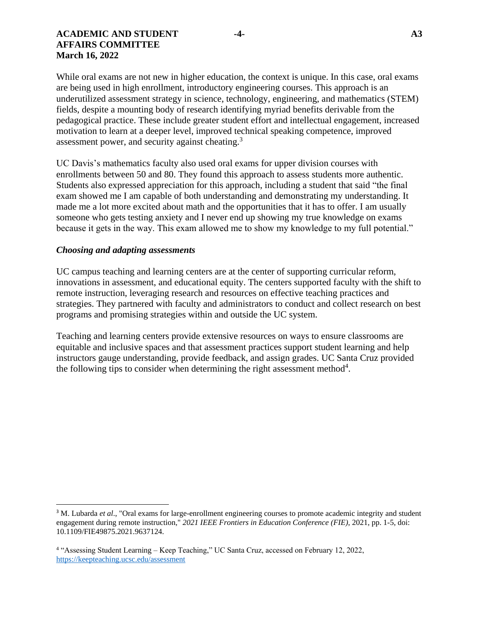#### **ACADEMIC AND STUDENT -4- A3 AFFAIRS COMMITTEE March 16, 2022**

While oral exams are not new in higher education, the context is unique. In this case, oral exams are being used in high enrollment, introductory engineering courses. This approach is an underutilized assessment strategy in science, technology, engineering, and mathematics (STEM) fields, despite a mounting body of research identifying myriad benefits derivable from the pedagogical practice. These include greater student effort and intellectual engagement, increased motivation to learn at a deeper level, improved technical speaking competence, improved assessment power, and security against cheating.<sup>3</sup>

UC Davis's mathematics faculty also used oral exams for upper division courses with enrollments between 50 and 80. They found this approach to assess students more authentic. Students also expressed appreciation for this approach, including a student that said "the final exam showed me I am capable of both understanding and demonstrating my understanding. It made me a lot more excited about math and the opportunities that it has to offer. I am usually someone who gets testing anxiety and I never end up showing my true knowledge on exams because it gets in the way. This exam allowed me to show my knowledge to my full potential."

#### *Choosing and adapting assessments*

 $\overline{\phantom{a}}$ 

UC campus teaching and learning centers are at the center of supporting curricular reform, innovations in assessment, and educational equity. The centers supported faculty with the shift to remote instruction, leveraging research and resources on effective teaching practices and strategies. They partnered with faculty and administrators to conduct and collect research on best programs and promising strategies within and outside the UC system.

Teaching and learning centers provide extensive resources on ways to ensure classrooms are equitable and inclusive spaces and that assessment practices support student learning and help instructors gauge understanding, provide feedback, and assign grades. UC Santa Cruz provided the following tips to consider when determining the right assessment method $4$ .

<sup>&</sup>lt;sup>3</sup> M. Lubarda *et al.*, "Oral exams for large-enrollment engineering courses to promote academic integrity and student engagement during remote instruction," *2021 IEEE Frontiers in Education Conference (FIE)*, 2021, pp. 1-5, doi: 10.1109/FIE49875.2021.9637124.

<sup>4</sup> "Assessing Student Learning – Keep Teaching," UC Santa Cruz, accessed on February 12, 2022, <https://keepteaching.ucsc.edu/assessment>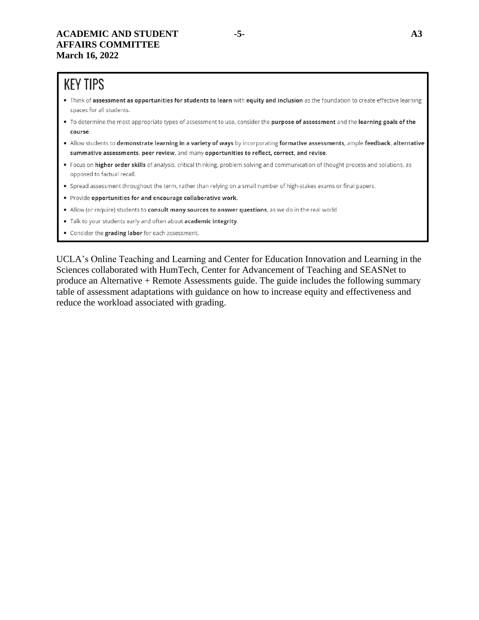# **KEY TIPS**

- Think of assessment as opportunities for students to learn with equity and inclusion as the foundation to create effective learning spaces for all students.
- " To determine the most appropriate types of assessment to use, consider the purpose of assessment and the learning goals of the course.
- Allow students to demonstrate learning in a variety of ways by incorporating formative assessments, ample feedback, alternative summative assessments, peer review, and many opportunities to reflect, correct, and revise.
- Focus on higher order skills of analysis, critical thinking, problem solving and communication of thought process and solutions, as opposed to factual recall.
- " Spread assessment throughout the term, rather than relying on a small number of high-stakes exams or final papers.
- Provide opportunities for and encourage collaborative work.
- In Allow (or require) students to consult many sources to answer questions, as we do in the real world
- Talk to your students early and often about academic integrity.
- Consider the grading labor for each assessment.

UCLA's Online Teaching and Learning and Center for Education Innovation and Learning in the Sciences collaborated with HumTech, Center for Advancement of Teaching and SEASNet to produce an Alternative + Remote Assessments guide. The guide includes the following summary table of assessment adaptations with guidance on how to increase equity and effectiveness and reduce the workload associated with grading.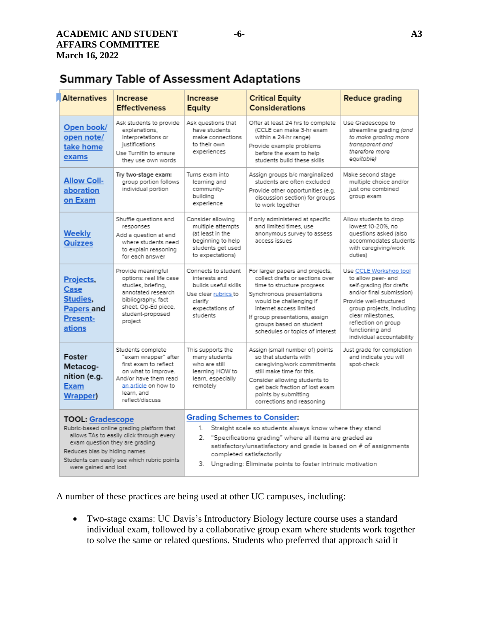# **Summary Table of Assessment Adaptations**

| <b>Alternatives</b>                                                                                                                                                                                                                                       | <b>Increase</b><br><b>Effectiveness</b>                                                                                                                                     | <b>Increase</b><br>Equity                                                                                                                                                                                                                                                                                                                  | <b>Critical Equity</b><br><b>Considerations</b>                                                                                                                                                                                                                                     | <b>Reduce grading</b>                                                                                                                                                                                                                                    |
|-----------------------------------------------------------------------------------------------------------------------------------------------------------------------------------------------------------------------------------------------------------|-----------------------------------------------------------------------------------------------------------------------------------------------------------------------------|--------------------------------------------------------------------------------------------------------------------------------------------------------------------------------------------------------------------------------------------------------------------------------------------------------------------------------------------|-------------------------------------------------------------------------------------------------------------------------------------------------------------------------------------------------------------------------------------------------------------------------------------|----------------------------------------------------------------------------------------------------------------------------------------------------------------------------------------------------------------------------------------------------------|
| Open book/<br>open note/<br>take home<br>exams                                                                                                                                                                                                            | Ask students to provide<br>explanations.<br>interpretations or<br>justifications<br>Use Turnitin to ensure<br>they use own words                                            | Ask questions that<br>have students<br>make connections<br>to their own<br>experiences                                                                                                                                                                                                                                                     | Offer at least 24 hrs to complete<br>(CCLE can make 3-hr exam<br>within a 24-hr range)<br>Provide example problems<br>before the exam to help<br>students build these skills                                                                                                        | Use Gradescope to<br>streamline grading (and<br>to make grading more<br>transparent and<br>therefore more<br>equitable)                                                                                                                                  |
| <b>Allow Coll-</b><br>aboration<br>on Exam                                                                                                                                                                                                                | Try two-stage exam:<br>aroup portion follows<br>individual portion                                                                                                          | Turns exam into<br>learning and<br>community-<br>building<br>experience                                                                                                                                                                                                                                                                    | Assign groups b/c marginalized<br>students are often excluded<br>Provide other opportunities (e.g.<br>discussion section) for groups<br>to work together                                                                                                                            | Make second stage<br>multiple choice and/or<br>just one combined<br>group exam                                                                                                                                                                           |
| <b>Weekly</b><br><b>Quizzes</b>                                                                                                                                                                                                                           | Shuffle questions and<br>responses<br>Add a question at end<br>where students need<br>to explain reasoning<br>for each answer                                               | Consider allowing<br>multiple attempts<br>(at least in the<br>beginning to help<br>students get used<br>to expectations)                                                                                                                                                                                                                   | If only administered at specific<br>and limited times, use<br>anonymous survey to assess<br>access issues                                                                                                                                                                           | Allow students to drop<br>lowest 10-20%, no<br>questions asked (also<br>accommodates students<br>with caregiving/work<br>duties)                                                                                                                         |
| Projects,<br>Case<br>Studies,<br>Papers and<br>Present-<br>ations                                                                                                                                                                                         | Provide meaningful<br>options: real life case<br>studies, briefing,<br>annotated research<br>bibliography, fact<br>sheet, Op-Ed piece,<br>student-proposed<br>project       | Connects to student<br>interests and<br>builds useful skills<br>Use clear rubrics to<br>clarify<br>expectations of<br>students                                                                                                                                                                                                             | For larger papers and projects,<br>collect drafts or sections over<br>time to structure progress<br>Synchronous presentations<br>would be challenging if<br>internet access limited<br>If group presentations, assign<br>groups based on student<br>schedules or topics of interest | Use CCLE Workshop tool<br>to allow peer- and<br>self-grading (for drafts<br>and/or final submission)<br>Provide well-structured<br>group projects, including<br>clear milestones.<br>reflection on group<br>functioning and<br>individual accountability |
| Foster<br>Metacog-<br>nition (e.g.<br><b>Exam</b><br><b>Wrapper)</b>                                                                                                                                                                                      | Students complete<br>"exam wrapper" after<br>first exam to reflect<br>on what to improve.<br>And/or have them read<br>an article on how to<br>learn, and<br>reflect/discuss | This supports the<br>many students<br>who are still<br>learning HOW to<br>learn, especially<br>remotely                                                                                                                                                                                                                                    | Assign (small number of) points<br>so that students with<br>caregiving/work commitments<br>still make time for this.<br>Consider allowing students to<br>get back fraction of lost exam<br>points by submitting<br>corrections and reasoning                                        | Just grade for completion<br>and indicate you will<br>spot-check                                                                                                                                                                                         |
| <b>TOOL: Gradescope</b><br>Rubric-based online grading platform that<br>allows TAs to easily click through every<br>exam question they are grading<br>Reduces bias by hiding names<br>Students can easily see which rubric points<br>were gained and lost |                                                                                                                                                                             | <b>Grading Schemes to Consider:</b><br>Straight scale so students always know where they stand<br>1.<br>2.<br>"Specifications grading" where all items are graded as<br>satisfactory/unsatisfactory and grade is based on # of assignments<br>completed satisfactorily<br>Ungrading: Eliminate points to foster intrinsic motivation<br>З. |                                                                                                                                                                                                                                                                                     |                                                                                                                                                                                                                                                          |

A number of these practices are being used at other UC campuses, including:

 Two-stage exams: UC Davis's Introductory Biology lecture course uses a standard individual exam, followed by a collaborative group exam where students work together to solve the same or related questions. Students who preferred that approach said it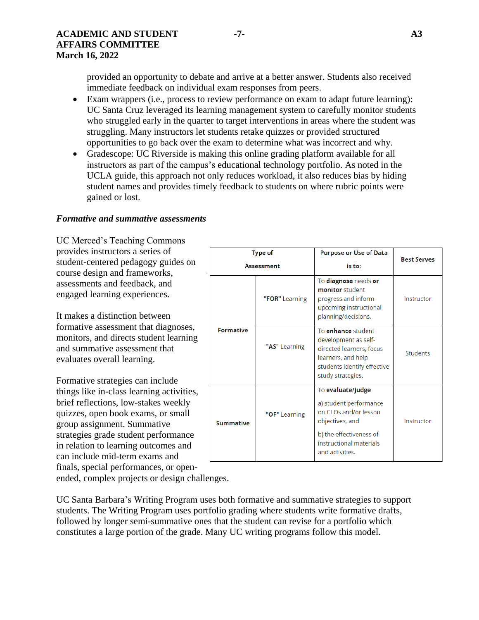provided an opportunity to debate and arrive at a better answer. Students also received immediate feedback on individual exam responses from peers.

- Exam wrappers (i.e., process to review performance on exam to adapt future learning): UC Santa Cruz leveraged its learning management system to carefully monitor students who struggled early in the quarter to target interventions in areas where the student was struggling. Many instructors let students retake quizzes or provided structured opportunities to go back over the exam to determine what was incorrect and why.
- Gradescope: UC Riverside is making this online grading platform available for all instructors as part of the campus's educational technology portfolio. As noted in the UCLA guide, this approach not only reduces workload, it also reduces bias by hiding student names and provides timely feedback to students on where rubric points were gained or lost.

#### *Formative and summative assessments*

UC Merced's Teaching Commons provides instructors a series of student-centered pedagogy guides on course design and frameworks, assessments and feedback, and engaged learning experiences.

It makes a distinction between formative assessment that diagnoses, monitors, and directs student learning and summative assessment that evaluates overall learning.

Formative strategies can include things like in-class learning activities, brief reflections, low-stakes weekly quizzes, open book exams, or small group assignment. Summative strategies grade student performance in relation to learning outcomes and can include mid-term exams and finals, special performances, or open-

|                  | <b>Type of</b>    | <b>Purpose or Use of Data</b>                                                                                                                                    | <b>Best Serves</b> |
|------------------|-------------------|------------------------------------------------------------------------------------------------------------------------------------------------------------------|--------------------|
|                  | <b>Assessment</b> | is to:                                                                                                                                                           |                    |
|                  | "FOR" Learning    | To diagnose needs or<br>monitor student<br>progress and inform<br>upcoming instructional<br>planning/decisions.                                                  | Instructor         |
| <b>Formative</b> | "AS" Learning     | To enhance student<br>development as self-<br>directed learners, focus<br>learners, and help<br>students identify effective<br>study strategies.                 | Students           |
| <b>Summative</b> | "OF" Learning     | To evaluate/judge<br>a) student performance<br>on CLOs and/or lesson<br>objectives, and<br>b) the effectiveness of<br>instructional materials<br>and activities. | Instructor         |

ended, complex projects or design challenges.

UC Santa Barbara's Writing Program uses both formative and summative strategies to support students. The Writing Program uses portfolio grading where students write formative drafts, followed by longer semi-summative ones that the student can revise for a portfolio which constitutes a large portion of the grade. Many UC writing programs follow this model.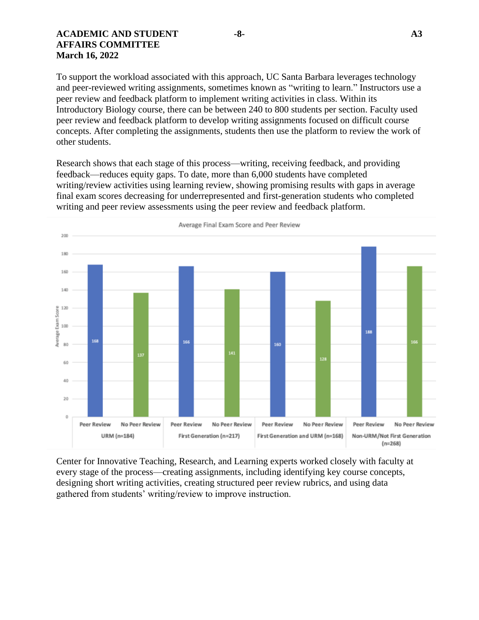#### **ACADEMIC AND STUDENT -8- A3 AFFAIRS COMMITTEE March 16, 2022**

To support the workload associated with this approach, UC Santa Barbara leverages technology and peer-reviewed writing assignments, sometimes known as "writing to learn." Instructors use a peer review and feedback platform to implement writing activities in class. Within its Introductory Biology course, there can be between 240 to 800 students per section. Faculty used peer review and feedback platform to develop writing assignments focused on difficult course concepts. After completing the assignments, students then use the platform to review the work of other students.

Research shows that each stage of this process—writing, receiving feedback, and providing feedback—reduces equity gaps. To date, more than 6,000 students have completed writing/review activities using learning review, showing promising results with gaps in average final exam scores decreasing for underrepresented and first-generation students who completed writing and peer review assessments using the peer review and feedback platform.



Center for Innovative Teaching, Research, and Learning experts worked closely with faculty at every stage of the process—creating assignments, including identifying key course concepts, designing short writing activities, creating structured peer review rubrics, and using data gathered from students' writing/review to improve instruction.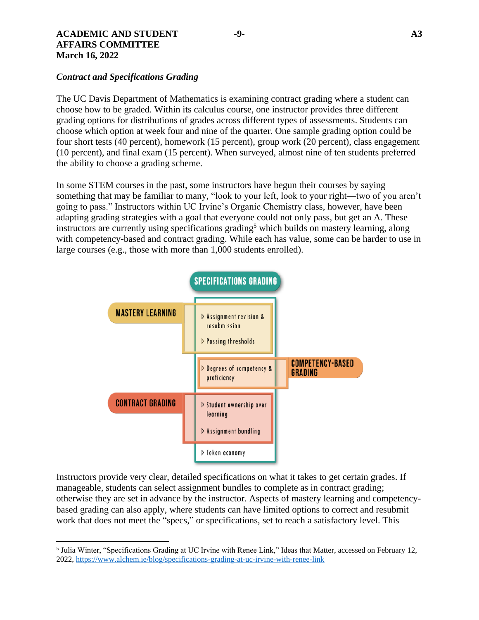#### **ACADEMIC AND STUDENT -9- A3 AFFAIRS COMMITTEE March 16, 2022**

 $\overline{\phantom{a}}$ 

## *Contract and Specifications Grading*

The UC Davis Department of Mathematics is examining contract grading where a student can choose how to be graded. Within its calculus course, one instructor provides three different grading options for distributions of grades across different types of assessments. Students can choose which option at week four and nine of the quarter. One sample grading option could be four short tests (40 percent), homework (15 percent), group work (20 percent), class engagement (10 percent), and final exam (15 percent). When surveyed, almost nine of ten students preferred the ability to choose a grading scheme.

In some STEM courses in the past, some instructors have begun their courses by saying something that may be familiar to many, "look to your left, look to your right—two of you aren't going to pass." Instructors within UC Irvine's Organic Chemistry class, however, have been adapting grading strategies with a goal that everyone could not only pass, but get an A. These instructors are currently using specifications grading<sup>5</sup> which builds on mastery learning, along with competency-based and contract grading. While each has value, some can be harder to use in large courses (e.g., those with more than 1,000 students enrolled).



Instructors provide very clear, detailed specifications on what it takes to get certain grades. If manageable, students can select assignment bundles to complete as in contract grading; otherwise they are set in advance by the instructor. Aspects of mastery learning and competencybased grading can also apply, where students can have limited options to correct and resubmit work that does not meet the "specs," or specifications, set to reach a satisfactory level. This

<sup>5</sup> Julia Winter, "Specifications Grading at UC Irvine with Renee Link," Ideas that Matter, accessed on February 12, 2022,<https://www.alchem.ie/blog/specifications-grading-at-uc-irvine-with-renee-link>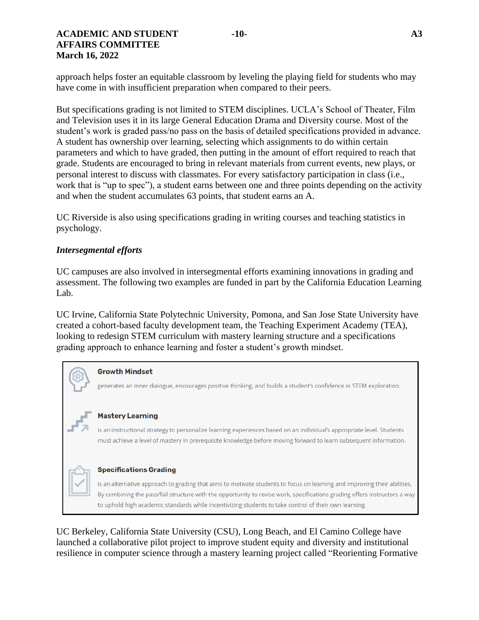approach helps foster an equitable classroom by leveling the playing field for students who may have come in with insufficient preparation when compared to their peers.

But specifications grading is not limited to STEM disciplines. UCLA's School of Theater, Film and Television uses it in its large General Education Drama and Diversity course. Most of the student's work is graded pass/no pass on the basis of detailed specifications provided in advance. A student has ownership over learning, selecting which assignments to do within certain parameters and which to have graded, then putting in the amount of effort required to reach that grade. Students are encouraged to bring in relevant materials from current events, new plays, or personal interest to discuss with classmates. For every satisfactory participation in class (i.e., work that is "up to spec"), a student earns between one and three points depending on the activity and when the student accumulates 63 points, that student earns an A.

UC Riverside is also using specifications grading in writing courses and teaching statistics in psychology.

#### *Intersegmental efforts*

UC campuses are also involved in intersegmental efforts examining innovations in grading and assessment. The following two examples are funded in part by the California Education Learning Lab.

UC Irvine, California State Polytechnic University, Pomona, and San Jose State University have created a cohort-based faculty development team, the Teaching Experiment Academy (TEA), looking to redesign STEM curriculum with mastery learning structure and a specifications grading approach to enhance learning and foster a student's growth mindset.

#### **Growth Mindset**

generates an inner dialogue, encourages positive thinking, and builds a student's confidence in STEM exploration.

#### **Mastery Learning**

is an instructional strategy to personalize learning experiences based on an individual's appropriate level. Students must achieve a level of mastery in prerequisite knowledge before moving forward to learn subsequent information.

#### **Specifications Grading**

is an alternative approach to grading that aims to motivate students to focus on learning and improving their abilities. By combining the pass/fail structure with the opportunity to revise work, specifications grading offers instructors a way to uphold high academic standards while incentivizing students to take control of their own learning.

UC Berkeley, California State University (CSU), Long Beach, and El Camino College have launched a collaborative [pilot project](https://opr.ca.gov/learninglab/grants/awards/reorienting_formative_summative_assesment.html) to improve student equity and diversity and institutional resilience in computer science through a mastery learning project called "Reorienting Formative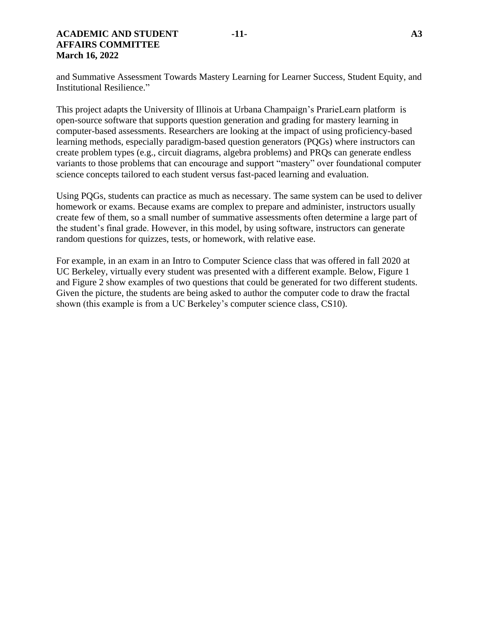#### **ACADEMIC AND STUDENT -11- A3 AFFAIRS COMMITTEE March 16, 2022**

and Summative Assessment Towards Mastery Learning for Learner Success, Student Equity, and Institutional Resilience."

This project adapts the University of Illinois at Urbana Champaign's PrarieLearn platform is open-source software that supports question generation and grading for mastery learning in computer-based assessments. Researchers are looking at the impact of using proficiency-based learning methods, especially paradigm-based question generators (PQGs) where instructors can create problem types (e.g., circuit diagrams, algebra problems) and PRQs can generate endless variants to those problems that can encourage and support "mastery" over foundational computer science concepts tailored to each student versus fast-paced learning and evaluation.

Using PQGs, students can practice as much as necessary. The same system can be used to deliver homework or exams. Because exams are complex to prepare and administer, instructors usually create few of them, so a small number of summative assessments often determine a large part of the student's final grade. However, in this model, by using software, instructors can generate random questions for quizzes, tests, or homework, with relative ease.

For example, in an exam in an Intro to Computer Science class that was offered in fall 2020 at UC Berkeley, virtually every student was presented with a different example. Below, Figure 1 and Figure 2 show examples of two questions that could be generated for two different students. Given the picture, the students are being asked to author the computer code to draw the fractal shown (this example is from a UC Berkeley's computer science class, CS10).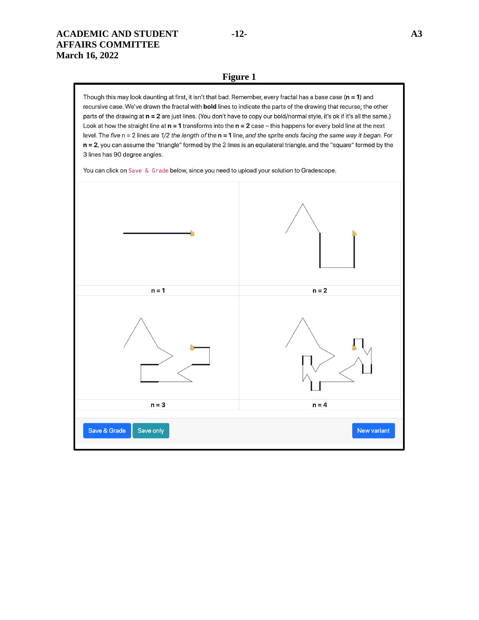#### **Figure 1**

Though this may look daunting at first, it isn't that bad. Remember, every fractal has a base case  $(n = 1)$  and recursive case. We've drawn the fractal with bold lines to indicate the parts of the drawing that recurse; the other parts of the drawing at n = 2 are just lines. (You don't have to copy our bold/normal style, it's ok if it's all the same.) Look at how the straight line at  $n = 1$  transforms into the  $n = 2$  case - this happens for every bold line at the next level. The five  $n = 2$  lines are  $1/2$  the length of the  $n = 1$  line, and the sprite ends facing the same way it began. For n = 2, you can assume the "triangle" formed by the 2 lines is an equilateral triangle, and the "square" formed by the 3 lines has 90 degree angles.

You can click on Save & Grade below, since you need to upload your solution to Gradescope.

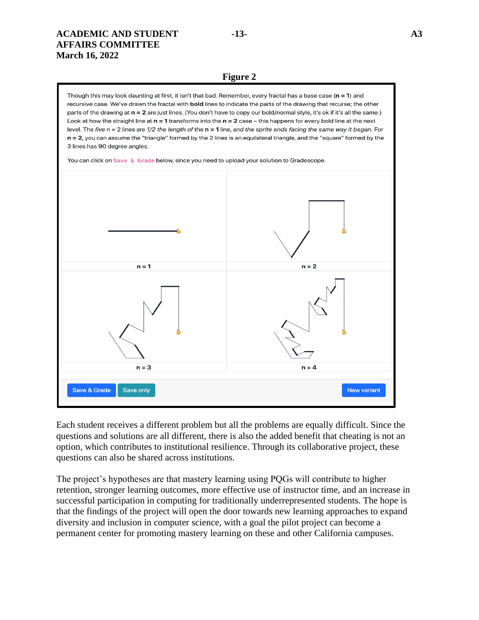#### **ACADEMIC AND STUDENT -13- A3 AFFAIRS COMMITTEE March 16, 2022**

#### **Figure 2**

Though this may look daunting at first, it isn't that bad. Remember, every fractal has a base case ( $n = 1$ ) and recursive case. We've drawn the fractal with **bold** lines to indicate the parts of the drawing that recurse; the other parts of the drawing at n = 2 are just lines. (You don't have to copy our bold/normal style, it's ok if it's all the same.) Look at how the straight line at  $n = 1$  transforms into the  $n = 2$  case – this happens for every bold line at the next level. The five  $n = 2$  lines are  $1/2$  the length of the  $n = 1$  line, and the sprite ends facing the same way it began. For n = 2, you can assume the "triangle" formed by the 2 lines is an equilateral triangle, and the "square" formed by the 3 lines has 90 degree angles.

You can click on Save & Grade below, since you need to upload your solution to Gradescope.



Each student receives a different problem but all the problems are equally difficult. Since the questions and solutions are all different, there is also the added benefit that cheating is not an option, which contributes to institutional resilience. Through its collaborative project, these questions can also be shared across institutions.

The project's hypotheses are that mastery learning using PQGs will contribute to higher retention, stronger learning outcomes, more effective use of instructor time, and an increase in successful participation in computing for traditionally underrepresented students. The hope is that the findings of the project will open the door towards new learning approaches to expand diversity and inclusion in computer science, with a goal the pilot project can become a permanent center for promoting mastery learning on these and other California campuses.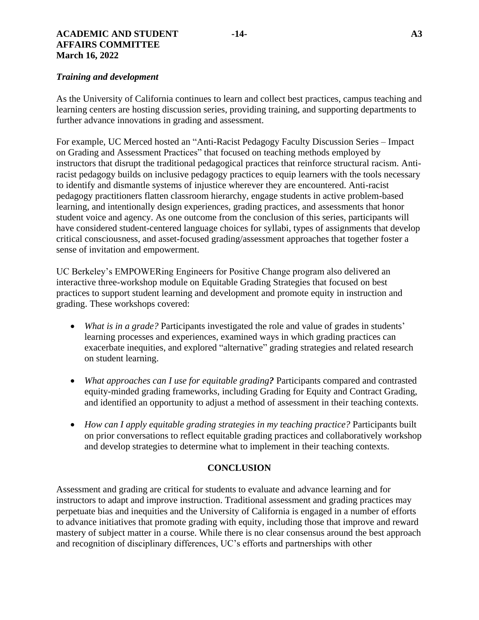#### **ACADEMIC AND STUDENT -14- A3 AFFAIRS COMMITTEE March 16, 2022**

#### *Training and development*

As the University of California continues to learn and collect best practices, campus teaching and learning centers are hosting discussion series, providing training, and supporting departments to further advance innovations in grading and assessment.

For example, UC Merced hosted an "Anti-Racist Pedagogy Faculty Discussion Series – Impact on Grading and Assessment Practices" that focused on teaching methods employed by instructors that disrupt the traditional pedagogical practices that reinforce structural racism. Antiracist pedagogy builds on inclusive pedagogy practices to equip learners with the tools necessary to identify and dismantle systems of injustice wherever they are encountered. Anti-racist pedagogy practitioners flatten classroom hierarchy, engage students in active problem-based learning, and intentionally design experiences, grading practices, and assessments that honor student voice and agency. As one outcome from the conclusion of this series, participants will have considered student-centered language choices for syllabi, types of assignments that develop critical consciousness, and asset-focused grading/assessment approaches that together foster a sense of invitation and empowerment.

UC Berkeley's EMPOWERing Engineers for Positive Change program also delivered an interactive three-workshop module on Equitable Grading Strategies that focused on best practices to support student learning and development and promote equity in instruction and grading. These workshops covered:

- *What is in a grade?* Participants investigated the role and value of grades in students' learning processes and experiences, examined ways in which grading practices can exacerbate inequities, and explored "alternative" grading strategies and related research on student learning.
- *What approaches can I use for equitable grading?* Participants compared and contrasted equity-minded grading frameworks, including Grading for Equity and Contract Grading, and identified an opportunity to adjust a method of assessment in their teaching contexts.
- *How can I apply equitable grading strategies in my teaching practice?* Participants built on prior conversations to reflect equitable grading practices and collaboratively workshop and develop strategies to determine what to implement in their teaching contexts.

#### **CONCLUSION**

Assessment and grading are critical for students to evaluate and advance learning and for instructors to adapt and improve instruction. Traditional assessment and grading practices may perpetuate bias and inequities and the University of California is engaged in a number of efforts to advance initiatives that promote grading with equity, including those that improve and reward mastery of subject matter in a course. While there is no clear consensus around the best approach and recognition of disciplinary differences, UC's efforts and partnerships with other